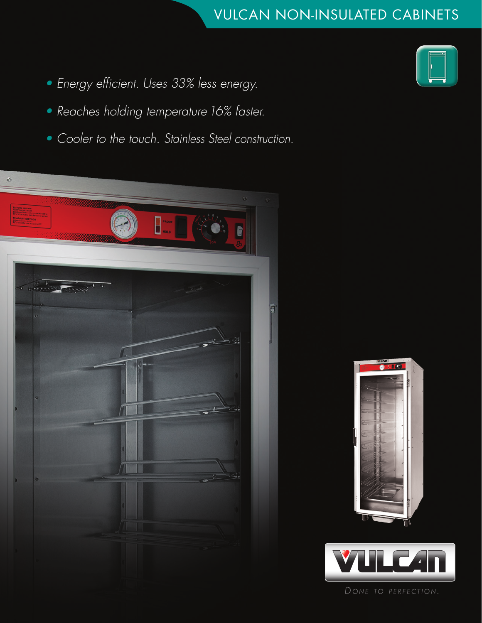## [VULCAN NON-INSULATED CABINETS](http://vulcanequipment.com/Products/VHFA-Series-Non-Insulated-Holding-Cabinets/)

- • *Energy efficient. Uses 33% less energy.*
- • *Reaches holding temperature16% faster.*
- • *Cooler to the touch. Stainless Steel construction.*